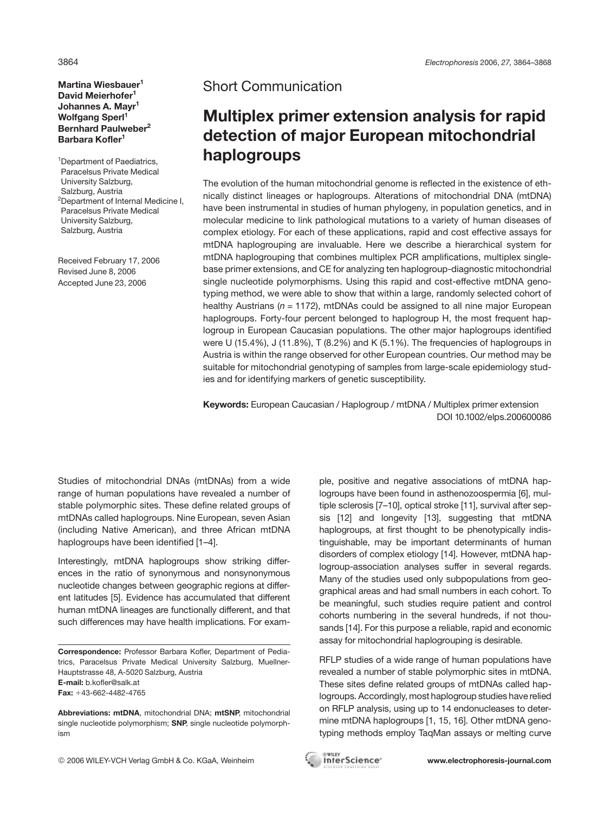**Martina Wiesbauer<sup>1</sup> David Meierhofer1 Johannes A. Mayr1** Wolfgang Sperl<sup>1</sup> **Bernhard Paulweber2 Barbara Kofler<sup>1</sup>**

<sup>1</sup>Department of Paediatrics, Paracelsus Private Medical University Salzburg, Salzburg, Austria 2 Department of Internal Medicine I, Paracelsus Private Medical University Salzburg, Salzburg, Austria

Received February 17, 2006 Revised June 8, 2006 Accepted June 23, 2006

## Short Communication

## **Multiplex primer extension analysis for rapid detection of major European mitochondrial haplogroups**

The evolution of the human mitochondrial genome is reflected in the existence of ethnically distinct lineages or haplogroups. Alterations of mitochondrial DNA (mtDNA) have been instrumental in studies of human phylogeny, in population genetics, and in molecular medicine to link pathological mutations to a variety of human diseases of complex etiology. For each of these applications, rapid and cost effective assays for mtDNA haplogrouping are invaluable. Here we describe a hierarchical system for mtDNA haplogrouping that combines multiplex PCR amplifications, multiplex singlebase primer extensions, and CE for analyzing ten haplogroup-diagnostic mitochondrial single nucleotide polymorphisms. Using this rapid and cost-effective mtDNA genotyping method, we were able to show that within a large, randomly selected cohort of healthy Austrians (*n* = 1172), mtDNAs could be assigned to all nine major European haplogroups. Forty-four percent belonged to haplogroup H, the most frequent haplogroup in European Caucasian populations. The other major haplogroups identified were U (15.4%), J (11.8%), T (8.2%) and K (5.1%). The frequencies of haplogroups in Austria is within the range observed for other European countries. Our method may be suitable for mitochondrial genotyping of samples from large-scale epidemiology studies and for identifying markers of genetic susceptibility.

**Keywords:** European Caucasian / Haplogroup / mtDNA / Multiplex primer extension DOI 10.1002/elps.200600086

Studies of mitochondrial DNAs (mtDNAs) from a wide range of human populations have revealed a number of stable polymorphic sites. These define related groups of mtDNAs called haplogroups. Nine European, seven Asian (including Native American), and three African mtDNA haplogroups have been identified [1–4].

Interestingly, mtDNA haplogroups show striking differences in the ratio of synonymous and nonsynonymous nucleotide changes between geographic regions at different latitudes [5]. Evidence has accumulated that different human mtDNA lineages are functionally different, and that such differences may have health implications. For exam-

**E-mail:** b.kofler@salk.at

**Fax:** +43-662-4482-4765

© 2006 WILEY-VCH Verlag GmbH & Co. KGaA, Weinheim **www.electrophoresis-journal.com**

ple, positive and negative associations of mtDNA haplogroups have been found in asthenozoospermia [6], multiple sclerosis [7–10], optical stroke [11], survival after sepsis [12] and longevity [13], suggesting that mtDNA haplogroups, at first thought to be phenotypically indistinguishable, may be important determinants of human disorders of complex etiology [14]. However, mtDNA haplogroup-association analyses suffer in several regards. Many of the studies used only subpopulations from geographical areas and had small numbers in each cohort. To be meaningful, such studies require patient and control cohorts numbering in the several hundreds, if not thousands [14]. For this purpose a reliable, rapid and economic assay for mitochondrial haplogrouping is desirable.

RFLP studies of a wide range of human populations have revealed a number of stable polymorphic sites in mtDNA. These sites define related groups of mtDNAs called haplogroups. Accordingly, most haplogroup studies have relied on RFLP analysis, using up to 14 endonucleases to determine mtDNA haplogroups [1, 15, 16]. Other mtDNA genotyping methods employ TaqMan assays or melting curve



**Correspondence:** Professor Barbara Kofler, Department of Pediatrics, Paracelsus Private Medical University Salzburg, Muellner-Hauptstrasse 48, A-5020 Salzburg, Austria

**Abbreviations: mtDNA**, mitochondrial DNA; **mtSNP**, mitochondrial single nucleotide polymorphism; **SNP**, single nucleotide polymorphism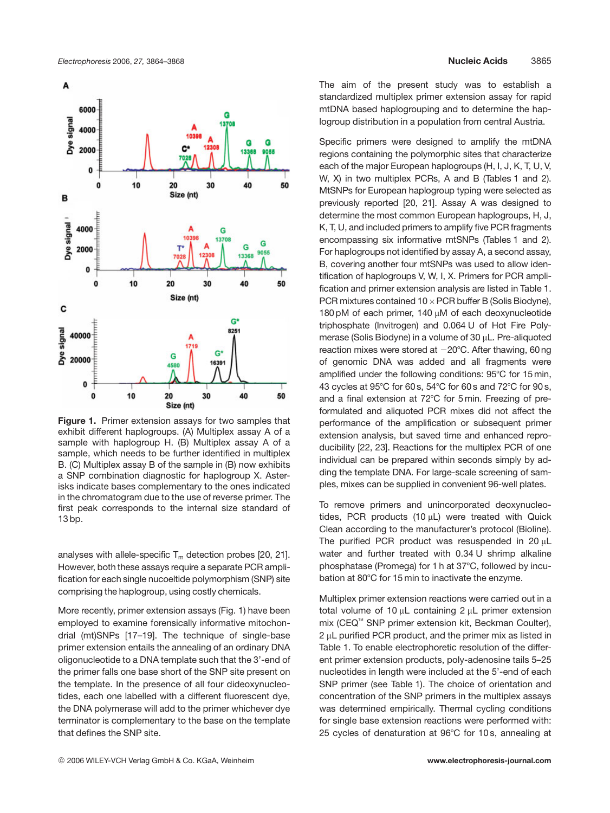

**Figure 1.** Primer extension assays for two samples that exhibit different haplogroups. (A) Multiplex assay A of a sample with haplogroup H. (B) Multiplex assay A of a sample, which needs to be further identified in multiplex B. (C) Multiplex assay B of the sample in (B) now exhibits a SNP combination diagnostic for haplogroup X. Asterisks indicate bases complementary to the ones indicated in the chromatogram due to the use of reverse primer. The first peak corresponds to the internal size standard of 13 bp.

analyses with allele-specific  $T_m$  detection probes [20, 21]. However, both these assays require a separate PCR amplification for each single nucoeltide polymorphism (SNP) site comprising the haplogroup, using costly chemicals.

More recently, primer extension assays (Fig. 1) have been employed to examine forensically informative mitochondrial (mt)SNPs [17–19]. The technique of single-base primer extension entails the annealing of an ordinary DNA oligonucleotide to a DNA template such that the 3'-end of the primer falls one base short of the SNP site present on the template. In the presence of all four dideoxynucleotides, each one labelled with a different fluorescent dye, the DNA polymerase will add to the primer whichever dye terminator is complementary to the base on the template that defines the SNP site.

The aim of the present study was to establish a standardized multiplex primer extension assay for rapid mtDNA based haplogrouping and to determine the haplogroup distribution in a population from central Austria.

Specific primers were designed to amplify the mtDNA regions containing the polymorphic sites that characterize each of the major European haplogroups (H, I, J, K, T, U, V, W, X) in two multiplex PCRs, A and B (Tables 1 and 2). MtSNPs for European haplogroup typing were selected as previously reported [20, 21]. Assay A was designed to determine the most common European haplogroups, H, J, K, T, U, and included primers to amplify five PCR fragments encompassing six informative mtSNPs (Tables 1 and 2). For haplogroups not identified by assay A, a second assay, B, covering another four mtSNPs was used to allow identification of haplogroups V, W, I, X. Primers for PCR amplification and primer extension analysis are listed in Table 1. PCR mixtures contained  $10 \times PCR$  buffer B (Solis Biodyne), 180 pM of each primer,  $140 \mu$ M of each deoxynucleotide triphosphate (Invitrogen) and 0.064 U of Hot Fire Polymerase (Solis Biodyne) in a volume of 30  $\mu$ L. Pre-aliquoted reaction mixes were stored at  $-20^{\circ}$ C. After thawing, 60 ng of genomic DNA was added and all fragments were amplified under the following conditions: 95°C for 15 min, 43 cycles at 95°C for 60 s, 54°C for 60 s and 72°C for 90 s, and a final extension at 72°C for 5 min. Freezing of preformulated and aliquoted PCR mixes did not affect the performance of the amplification or subsequent primer extension analysis, but saved time and enhanced reproducibility [22, 23]. Reactions for the multiplex PCR of one individual can be prepared within seconds simply by adding the template DNA. For large-scale screening of samples, mixes can be supplied in convenient 96-well plates.

To remove primers and unincorporated deoxynucleotides, PCR products  $(10 \mu L)$  were treated with Quick Clean according to the manufacturer's protocol (Bioline). The purified PCR product was resuspended in 20  $\mu$ L water and further treated with 0.34 U shrimp alkaline phosphatase (Promega) for 1 h at 37°C, followed by incubation at 80°C for 15 min to inactivate the enzyme.

Multiplex primer extension reactions were carried out in a total volume of 10  $\mu$ L containing 2  $\mu$ L primer extension mix (CEQ™ SNP primer extension kit, Beckman Coulter),  $2 \mu L$  purified PCR product, and the primer mix as listed in Table 1. To enable electrophoretic resolution of the different primer extension products, poly-adenosine tails 5–25 nucleotides in length were included at the 5'-end of each SNP primer (see Table 1). The choice of orientation and concentration of the SNP primers in the multiplex assays was determined empirically. Thermal cycling conditions for single base extension reactions were performed with: 25 cycles of denaturation at 96°C for 10 s, annealing at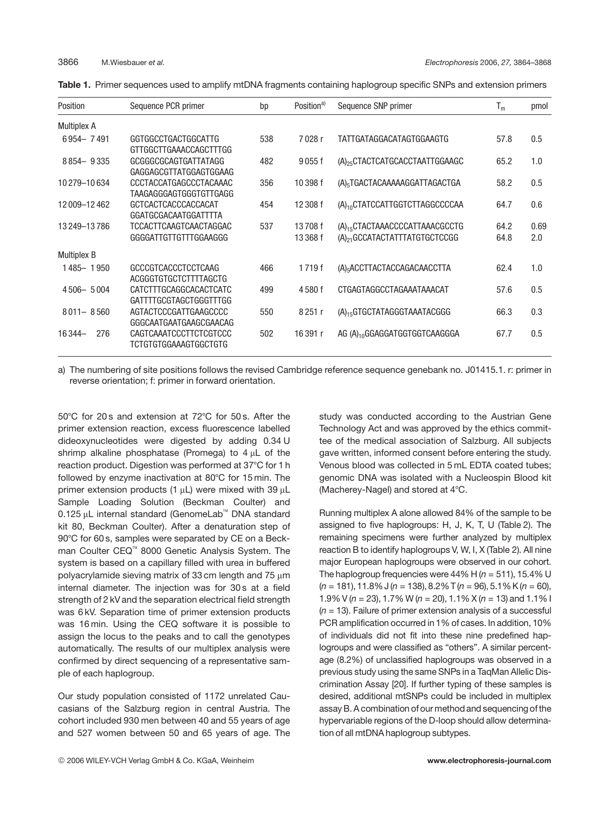|  |  |  |  |  | Table 1. Primer sequences used to amplify mtDNA fragments containing haplogroup specific SNPs and extension primers |  |  |
|--|--|--|--|--|---------------------------------------------------------------------------------------------------------------------|--|--|
|--|--|--|--|--|---------------------------------------------------------------------------------------------------------------------|--|--|

| Position           | Sequence PCR primer                                    | bp  | Position <sup>a)</sup> | Sequence SNP primer                                                                     | $T_m$        | pmol        |
|--------------------|--------------------------------------------------------|-----|------------------------|-----------------------------------------------------------------------------------------|--------------|-------------|
| <b>Multiplex A</b> |                                                        |     |                        |                                                                                         |              |             |
| 6954-7491          | GGTGGCCTGACTGGCATTG<br>GTTGGCTTGAAACCAGCTTTGG          | 538 | 7028r                  | TATTGATAGGACATAGTGGAAGTG                                                                | 57.8         | 0.5         |
| 8854 - 9335        | GCGGGCGCAGTGATTATAGG<br>GAGGAGCGTTATGGAGTGGAAG         | 482 | 9055f                  | (A) <sub>25</sub> CTACTCATGCACCTAATTGGAAGC                                              | 65.2         | 1.0         |
| 10 279 - 10 634    | CCCTACCATGAGCCCTACAAAC<br>TAAGAGGGAGTGGGTGTTGAGG       | 356 | 10 398 f               | (A) <sub>5</sub> TGACTACAAAAAGGATTAGACTGA                                               | 58.2         | 0.5         |
| 12009-12462        | GCTCACTCACCCACCACAT<br>GGATGCGACAATGGATTTTA            | 454 | 12 308 f               | $(A)_{10}$ CTATCCATTGGTCTTAGGCCCCAA                                                     | 64.7         | 0.6         |
| 13 249 - 13 786    | <b>TCCACTTCAAGTCAACTAGGAC</b><br>GGGGATTGTTGTTTGGAAGGG | 537 | 13708f<br>13 368 f     | (A) <sub>15</sub> CTACTAAACCCCATTAAACGCCTG<br>(A) <sub>21</sub> GCCATACTATTTATGTGCTCCGG | 64.2<br>64.8 | 0.69<br>2.0 |
| <b>Multiplex B</b> |                                                        |     |                        |                                                                                         |              |             |
| 1485-1950          | GCCCGTCACCCTCCTCAAG<br>ACGGGTGTGCTCTTTTAGCTG           | 466 | 1719f                  | (A) <sub>5</sub> ACCTTACTACCAGACAACCTTA                                                 | 62.4         | 1.0         |
| 4506-5004          | CATCTTTGCAGGCACACTCATC<br>GATTTTGCGTAGCTGGGTTTGG       | 499 | 4580f                  | CTGAGTAGGCCTAGAAATAAACAT                                                                | 57.6         | 0.5         |
| $8011 - 8560$      | AGTACTCCCGATTGAAGCCCC<br>GGGCAATGAATGAAGCGAACAG        | 550 | 8251 r                 | (A) <sub>15</sub> GTGCTATAGGGTAAATACGGG                                                 | 66.3         | 0.3         |
| 276<br>16344-      | CAGTCAAATCCCTTCTCGTCCC<br>TCTGTGTGGAAAGTGGCTGTG        | 502 | 16391 r                | AG (A) <sub>10</sub> GGAGGATGGTGGTCAAGGGA                                               | 67.7         | 0.5         |

a) The numbering of site positions follows the revised Cambridge reference sequence genebank no. J01415.1. r: primer in reverse orientation; f: primer in forward orientation.

50°C for 20 s and extension at 72°C for 50 s. After the primer extension reaction, excess fluorescence labelled dideoxynucleotides were digested by adding 0.34 U shrimp alkaline phosphatase (Promega) to  $4 \mu L$  of the reaction product. Digestion was performed at 37°C for 1 h followed by enzyme inactivation at  $80^{\circ}$ C for 15 min. The primer extension products (1  $\mu$ L) were mixed with 39  $\mu$ L Sample Loading Solution (Beckman Coulter) and 0.125 µL internal standard (GenomeLab<sup>™</sup> DNA standard kit 80, Beckman Coulter). After a denaturation step of 90°C for 60 s, samples were separated by CE on a Beckman Coulter CEQ™ 8000 Genetic Analysis System. The system is based on a capillary filled with urea in buffered polyacrylamide sieving matrix of 33 cm length and 75  $\mu$ m internal diameter. The injection was for 30s at a field strength of 2 kV and the separation electrical field strength was 6 kV. Separation time of primer extension products was 16 min. Using the CEQ software it is possible to assign the locus to the peaks and to call the genotypes automatically. The results of our multiplex analysis were confirmed by direct sequencing of a representative sample of each haplogroup.

Our study population consisted of 1172 unrelated Caucasians of the Salzburg region in central Austria. The cohort included 930 men between 40 and 55 years of age and 527 women between 50 and 65 years of age. The

study was conducted according to the Austrian Gene Technology Act and was approved by the ethics committee of the medical association of Salzburg. All subjects gave written, informed consent before entering the study. Venous blood was collected in 5 mL EDTA coated tubes; genomic DNA was isolated with a Nucleospin Blood kit (Macherey-Nagel) and stored at 4°C.

Running multiplex A alone allowed 84% of the sample to be assigned to five haplogroups: H, J, K, T, U (Table 2). The remaining specimens were further analyzed by multiplex reaction B to identify haplogroups V, W, I, X (Table 2). All nine major European haplogroups were observed in our cohort. The haplogroup frequencies were  $44\%$  H ( $n = 511$ ), 15.4% U (*n* = 181), 11.8% J (*n* = 138), 8.2%T (*n* = 96), 5.1%K (*n* = 60), 1.9% V (*n* = 23), 1.7% W (*n* = 20), 1.1% X (*n* = 13) and 1.1% I (*n* = 13). Failure of primer extension analysis of a successful PCR amplification occurred in 1% of cases. In addition, 10% of individuals did not fit into these nine predefined haplogroups and were classified as "others". A similar percentage (8.2%) of unclassified haplogroups was observed in a previous study using the same SNPs in a TaqMan Allelic Discrimination Assay [20]. If further typing of these samples is desired, additional mtSNPs could be included in multiplex assay B. A combination of our method and sequencing of the hypervariable regions of the D-loop should allow determination of all mtDNA haplogroup subtypes.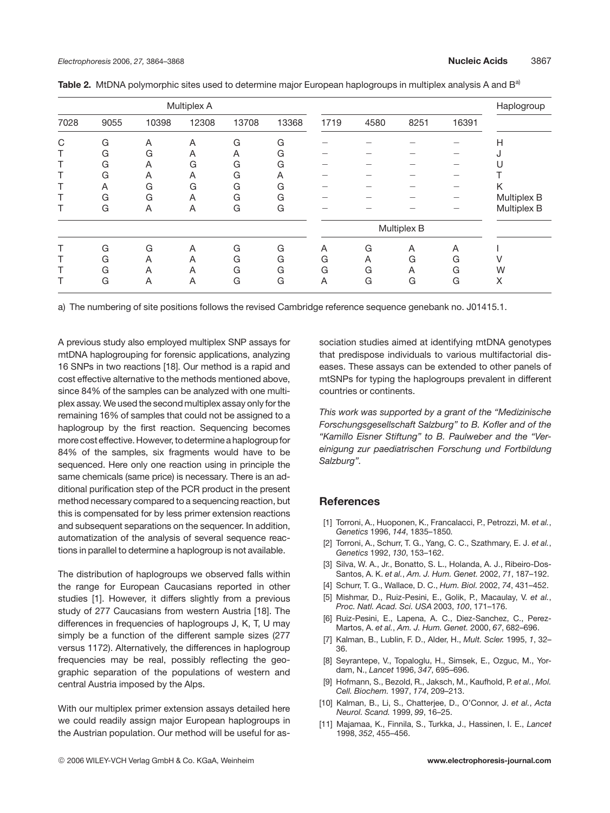| Multiplex A |      |       |       |       |       |      |      |             | Haplogroup |             |
|-------------|------|-------|-------|-------|-------|------|------|-------------|------------|-------------|
| 7028        | 9055 | 10398 | 12308 | 13708 | 13368 | 1719 | 4580 | 8251        | 16391      |             |
| C           | G    | A     | A     | G     | G     |      |      |             |            | Н           |
|             | G    | G     | Α     | Α     | G     |      |      |             |            |             |
|             | G    | A     | G     | G     | G     |      |      |             |            |             |
|             | G    | A     | Α     | G     | A     |      |      |             |            |             |
|             | A    | G     | G     | G     | G     |      |      |             |            | K           |
|             | G    | G     | A     | G     | G     |      |      |             |            | Multiplex B |
|             | G    | A     | A     | G     | G     |      |      |             |            | Multiplex B |
|             |      |       |       |       |       |      |      | Multiplex B |            |             |
|             | G    | G     | A     | G     | G     | A    | G    | A           | Α          |             |
|             | G    | A     | A     | G     | G     | G    | A    | G           | G          |             |
|             | G    | A     | A     | G     | G     | G    | G    | A           | G          | W           |
|             | G    | A     | A     | G     | G     | A    | G    | G           | G          | X           |

Table 2. MtDNA polymorphic sites used to determine major European haplogroups in multiplex analysis A and B<sup>a)</sup>

a) The numbering of site positions follows the revised Cambridge reference sequence genebank no. J01415.1.

A previous study also employed multiplex SNP assays for mtDNA haplogrouping for forensic applications, analyzing 16 SNPs in two reactions [18]. Our method is a rapid and cost effective alternative to the methods mentioned above, since 84% of the samples can be analyzed with one multiplex assay. We used the second multiplex assay only for the remaining 16% of samples that could not be assigned to a haplogroup by the first reaction. Sequencing becomes more costeffective. However, todetermine a haplogroup for 84% of the samples, six fragments would have to be sequenced. Here only one reaction using in principle the same chemicals (same price) is necessary. There is an additional purification step of the PCR product in the present method necessary compared to a sequencing reaction, but this is compensated for by less primer extension reactions and subsequent separations on the sequencer. In addition, automatization of the analysis of several sequence reactions in parallel to determine a haplogroup is not available.

The distribution of haplogroups we observed falls within the range for European Caucasians reported in other studies [1]. However, it differs slightly from a previous study of 277 Caucasians from western Austria [18]. The differences in frequencies of haplogroups J, K, T, U may simply be a function of the different sample sizes (277 versus 1172). Alternatively, the differences in haplogroup frequencies may be real, possibly reflecting the geographic separation of the populations of western and central Austria imposed by the Alps.

With our multiplex primer extension assays detailed here we could readily assign major European haplogroups in the Austrian population. Our method will be useful for association studies aimed at identifying mtDNA genotypes that predispose individuals to various multifactorial diseases. These assays can be extended to other panels of mtSNPs for typing the haplogroups prevalent in different countries or continents.

*This work was supported by a grant of the "Medizinische Forschungsgesellschaft Salzburg" to B. Kofler and of the "Kamillo Eisner Stiftung" to B. Paulweber and the "Vereinigung zur paediatrischen Forschung und Fortbildung Salzburg".*

## **References**

- [1] Torroni, A., Huoponen, K., Francalacci, P., Petrozzi, M. *et al.*, *Genetics* 1996, *144*, 1835–1850.
- [2] Torroni, A., Schurr, T. G., Yang, C. C., Szathmary, E. J. *et al.*, *Genetics* 1992, *130*, 153–162.
- [3] Silva, W. A., Jr., Bonatto, S. L., Holanda, A. J., Ribeiro-Dos-Santos, A. K. *et al.*, *Am. J. Hum. Genet.* 2002, *71*, 187–192.
- [4] Schurr, T. G., Wallace, D. C., *Hum. Biol.* 2002, *74*, 431–452.
- [5] Mishmar, D., Ruiz-Pesini, E., Golik, P., Macaulay, V. *et al.*, *Proc. Natl. Acad. Sci. USA* 2003, *100*, 171–176.
- [6] Ruiz-Pesini, E., Lapena, A. C., Diez-Sanchez, C., Perez-Martos, A. *et al.*, *Am. J. Hum. Genet.* 2000, *67*, 682–696.
- [7] Kalman, B., Lublin, F. D., Alder, H., *Mult. Scler.* 1995, *1*, 32– 36.
- [8] Seyrantepe, V., Topaloglu, H., Simsek, E., Ozguc, M., Yordam, N., *Lancet* 1996, *347*, 695–696.
- [9] Hofmann, S., Bezold, R., Jaksch, M., Kaufhold, P. *et al.*, *Mol. Cell. Biochem.* 1997, *174*, 209–213.
- [10] Kalman, B., Li, S., Chatterjee, D., O'Connor, J. *et al.*, *Acta Neurol. Scand.* 1999, *99*, 16–25.
- [11] Majamaa, K., Finnila, S., Turkka, J., Hassinen, I. E., *Lancet* 1998, *352*, 455–456.